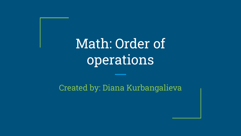## Math: Order of operations

#### Created by: Diana Kurbangalieva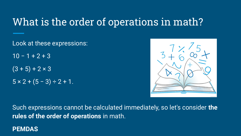## What is the order of operations in math?

Look at these expressions:

 $10 - 1 + 2 + 3$ 

 $(3 + 5) + 2 \times 3$ 

 $5 \times 2 + (5 - 3) \div 2 + 1$ .



Such expressions cannot be calculated immediately, so let's consider **the rules of the order of operations** in math.

#### **PEMDAS**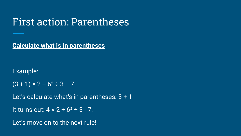#### First action: Parentheses

**Calculate what is in parentheses**

Example:

 $(3 + 1) \times 2 + 6^2 \div 3 - 7$ 

Let's calculate what's in parentheses: 3 + 1

```
It turns out: 4 \times 2 + 6^2 \div 3 - 7.
```
Let's move on to the next rule!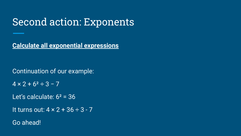## Second action: Exponents

**Calculate all exponential expressions**

Continuation of our example:

 $4 \times 2 + 6^2 \div 3 - 7$ 

Let's calculate:  $6^2$  = 36

It turns out:  $4 \times 2 + 36 \div 3 - 7$ 

Go ahead!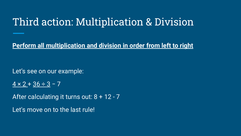## Third action: Multiplication & Division

**Perform all multiplication and division in order from left to right**

Let's see on our example:

 $4 \times 2 + 36 \div 3 - 7$ 

After calculating it turns out: 8 + 12 - 7

Let's move on to the last rule!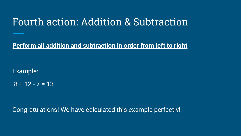#### Fourth action: Addition & Subtraction

**Perform all addition and subtraction in order from left to right**

Example:

 $8 + 12 - 7 = 13$ 

Congratulations! We have calculated this example perfectly!